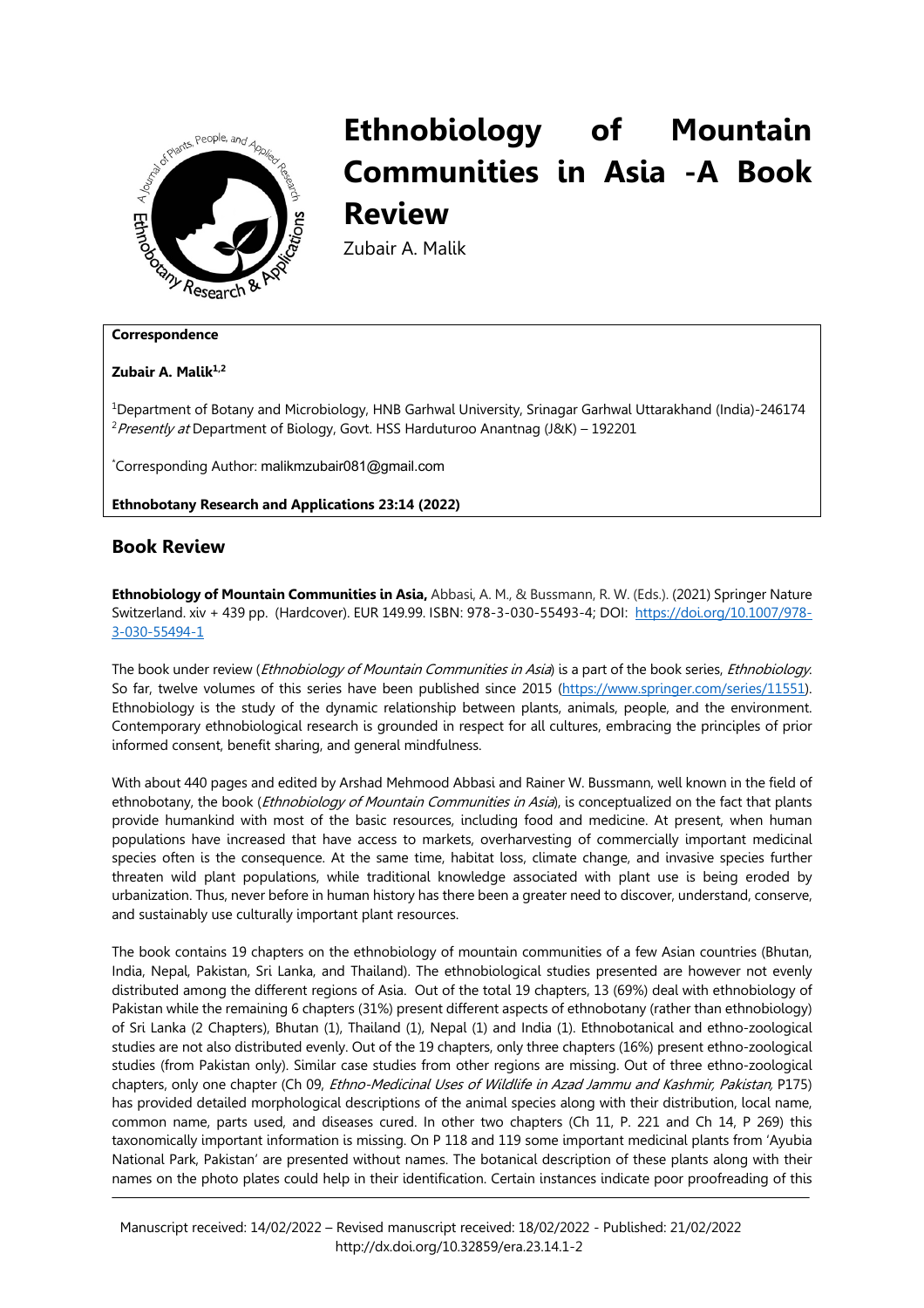

## **Ethnobiology of Mountain Communities in Asia -A Book Review**

Zubair A. Malik

**Zubair A. Malik1,2**

1Department of Botany and Microbiology, HNB Garhwal University, Srinagar Garhwal Uttarakhand (India)-246174 <sup>2</sup> Presently at Department of Biology, Govt. HSS Harduturoo Anantnag (J&K) - 192201

\* Corresponding Author: malikmzubair081@gmail.com

**Ethnobotany Research and Applications 23:14 (2022)**

## **Book Review**

**Ethnobiology of Mountain Communities in Asia,** Abbasi, A. M., & Bussmann, R. W. (Eds.). (2021) Springer Nature Switzerland. xiv + 439 pp. (Hardcover). EUR 149.99. ISBN: 978-3-030-55493-4; DOI: https://doi.org/10.1007/978- 3-030-55494-1

The book under review (*Ethnobiology of Mountain Communities in Asia*) is a part of the book series, *Ethnobiology*. So far, twelve volumes of this series have been published since 2015 (https://www.springer.com/series/11551). Ethnobiology is the study of the dynamic relationship between plants, animals, people, and the environment. Contemporary ethnobiological research is grounded in respect for all cultures, embracing the principles of prior informed consent, benefit sharing, and general mindfulness.

With about 440 pages and edited by Arshad Mehmood Abbasi and Rainer W. Bussmann, well known in the field of ethnobotany, the book (*Ethnobiology of Mountain Communities in Asia*), is conceptualized on the fact that plants provide humankind with most of the basic resources, including food and medicine. At present, when human populations have increased that have access to markets, overharvesting of commercially important medicinal species often is the consequence. At the same time, habitat loss, climate change, and invasive species further threaten wild plant populations, while traditional knowledge associated with plant use is being eroded by urbanization. Thus, never before in human history has there been a greater need to discover, understand, conserve, and sustainably use culturally important plant resources.

The book contains 19 chapters on the ethnobiology of mountain communities of a few Asian countries (Bhutan, India, Nepal, Pakistan, Sri Lanka, and Thailand). The ethnobiological studies presented are however not evenly distributed among the different regions of Asia. Out of the total 19 chapters, 13 (69%) deal with ethnobiology of Pakistan while the remaining 6 chapters (31%) present different aspects of ethnobotany (rather than ethnobiology) of Sri Lanka (2 Chapters), Bhutan (1), Thailand (1), Nepal (1) and India (1). Ethnobotanical and ethno-zoological studies are not also distributed evenly. Out of the 19 chapters, only three chapters (16%) present ethno-zoological studies (from Pakistan only). Similar case studies from other regions are missing. Out of three ethno-zoological chapters, only one chapter (Ch 09, Ethno-Medicinal Uses of Wildlife in Azad Jammu and Kashmir, Pakistan, P175) has provided detailed morphological descriptions of the animal species along with their distribution, local name, common name, parts used, and diseases cured. In other two chapters (Ch 11, P. 221 and Ch 14, P 269) this taxonomically important information is missing. On P 118 and 119 some important medicinal plants from 'Ayubia National Park, Pakistan' are presented without names. The botanical description of these plants along with their names on the photo plates could help in their identification. Certain instances indicate poor proofreading of this